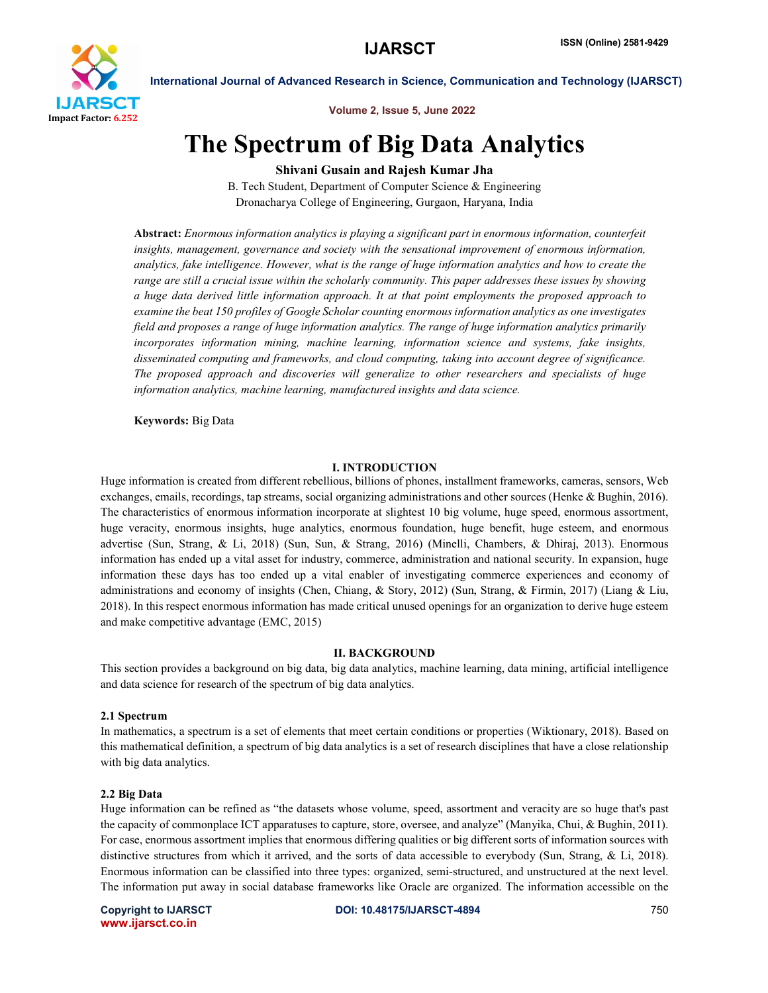

Volume 2, Issue 5, June 2022

# The Spectrum of Big Data Analytics

Shivani Gusain and Rajesh Kumar Jha

B. Tech Student, Department of Computer Science & Engineering Dronacharya College of Engineering, Gurgaon, Haryana, India

Abstract: *Enormous information analytics is playing a significant part in enormous information, counterfeit insights, management, governance and society with the sensational improvement of enormous information, analytics, fake intelligence. However, what is the range of huge information analytics and how to create the range are still a crucial issue within the scholarly community. This paper addresses these issues by showing a huge data derived little information approach. It at that point employments the proposed approach to examine the beat 150 profiles of Google Scholar counting enormous information analytics as one investigates field and proposes a range of huge information analytics. The range of huge information analytics primarily incorporates information mining, machine learning, information science and systems, fake insights, disseminated computing and frameworks, and cloud computing, taking into account degree of significance. The proposed approach and discoveries will generalize to other researchers and specialists of huge information analytics, machine learning, manufactured insights and data science.*

Keywords: Big Data

### I. INTRODUCTION

Huge information is created from different rebellious, billions of phones, installment frameworks, cameras, sensors, Web exchanges, emails, recordings, tap streams, social organizing administrations and other sources (Henke & Bughin, 2016). The characteristics of enormous information incorporate at slightest 10 big volume, huge speed, enormous assortment, huge veracity, enormous insights, huge analytics, enormous foundation, huge benefit, huge esteem, and enormous advertise (Sun, Strang, & Li, 2018) (Sun, Sun, & Strang, 2016) (Minelli, Chambers, & Dhiraj, 2013). Enormous information has ended up a vital asset for industry, commerce, administration and national security. In expansion, huge information these days has too ended up a vital enabler of investigating commerce experiences and economy of administrations and economy of insights (Chen, Chiang, & Story, 2012) (Sun, Strang, & Firmin, 2017) (Liang & Liu, 2018). In this respect enormous information has made critical unused openings for an organization to derive huge esteem and make competitive advantage (EMC, 2015)

### II. BACKGROUND

This section provides a background on big data, big data analytics, machine learning, data mining, artificial intelligence and data science for research of the spectrum of big data analytics.

# 2.1 Spectrum

In mathematics, a spectrum is a set of elements that meet certain conditions or properties (Wiktionary, 2018). Based on this mathematical definition, a spectrum of big data analytics is a set of research disciplines that have a close relationship with big data analytics.

### 2.2 Big Data

Huge information can be refined as "the datasets whose volume, speed, assortment and veracity are so huge that's past the capacity of commonplace ICT apparatuses to capture, store, oversee, and analyze" (Manyika, Chui, & Bughin, 2011). For case, enormous assortment implies that enormous differing qualities or big different sorts of information sources with distinctive structures from which it arrived, and the sorts of data accessible to everybody (Sun, Strang, & Li, 2018). Enormous information can be classified into three types: organized, semi-structured, and unstructured at the next level. The information put away in social database frameworks like Oracle are organized. The information accessible on the

www.ijarsct.co.in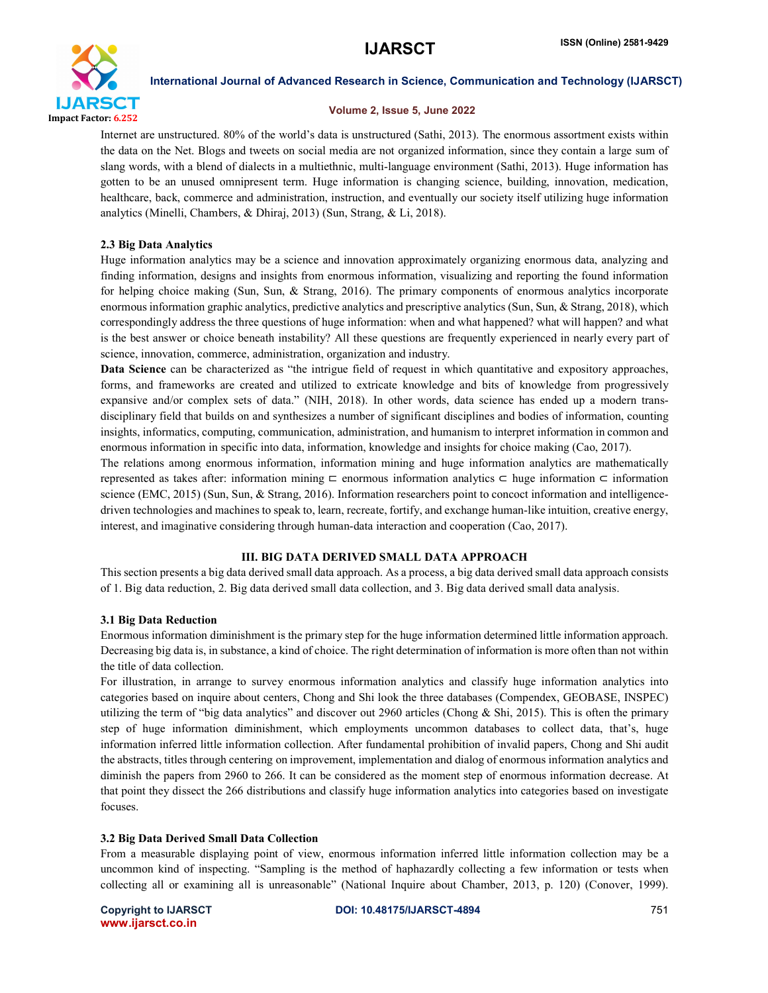

# Volume 2, Issue 5, June 2022

Internet are unstructured. 80% of the world's data is unstructured (Sathi, 2013). The enormous assortment exists within the data on the Net. Blogs and tweets on social media are not organized information, since they contain a large sum of slang words, with a blend of dialects in a multiethnic, multi-language environment (Sathi, 2013). Huge information has gotten to be an unused omnipresent term. Huge information is changing science, building, innovation, medication, healthcare, back, commerce and administration, instruction, and eventually our society itself utilizing huge information analytics (Minelli, Chambers, & Dhiraj, 2013) (Sun, Strang, & Li, 2018).

# 2.3 Big Data Analytics

Huge information analytics may be a science and innovation approximately organizing enormous data, analyzing and finding information, designs and insights from enormous information, visualizing and reporting the found information for helping choice making (Sun, Sun, & Strang, 2016). The primary components of enormous analytics incorporate enormous information graphic analytics, predictive analytics and prescriptive analytics (Sun, Sun, & Strang, 2018), which correspondingly address the three questions of huge information: when and what happened? what will happen? and what is the best answer or choice beneath instability? All these questions are frequently experienced in nearly every part of science, innovation, commerce, administration, organization and industry.

Data Science can be characterized as "the intrigue field of request in which quantitative and expository approaches, forms, and frameworks are created and utilized to extricate knowledge and bits of knowledge from progressively expansive and/or complex sets of data." (NIH, 2018). In other words, data science has ended up a modern transdisciplinary field that builds on and synthesizes a number of significant disciplines and bodies of information, counting insights, informatics, computing, communication, administration, and humanism to interpret information in common and enormous information in specific into data, information, knowledge and insights for choice making (Cao, 2017).

The relations among enormous information, information mining and huge information analytics are mathematically represented as takes after: information mining ⊏ enormous information analytics ⊂ huge information ⊂ information science (EMC, 2015) (Sun, Sun, & Strang, 2016). Information researchers point to concoct information and intelligencedriven technologies and machines to speak to, learn, recreate, fortify, and exchange human-like intuition, creative energy, interest, and imaginative considering through human-data interaction and cooperation (Cao, 2017).

# III. BIG DATA DERIVED SMALL DATA APPROACH

This section presents a big data derived small data approach. As a process, a big data derived small data approach consists of 1. Big data reduction, 2. Big data derived small data collection, and 3. Big data derived small data analysis.

# 3.1 Big Data Reduction

Enormous information diminishment is the primary step for the huge information determined little information approach. Decreasing big data is, in substance, a kind of choice. The right determination of information is more often than not within the title of data collection.

For illustration, in arrange to survey enormous information analytics and classify huge information analytics into categories based on inquire about centers, Chong and Shi look the three databases (Compendex, GEOBASE, INSPEC) utilizing the term of "big data analytics" and discover out 2960 articles (Chong & Shi, 2015). This is often the primary step of huge information diminishment, which employments uncommon databases to collect data, that's, huge information inferred little information collection. After fundamental prohibition of invalid papers, Chong and Shi audit the abstracts, titles through centering on improvement, implementation and dialog of enormous information analytics and diminish the papers from 2960 to 266. It can be considered as the moment step of enormous information decrease. At that point they dissect the 266 distributions and classify huge information analytics into categories based on investigate focuses.

# 3.2 Big Data Derived Small Data Collection

From a measurable displaying point of view, enormous information inferred little information collection may be a uncommon kind of inspecting. "Sampling is the method of haphazardly collecting a few information or tests when collecting all or examining all is unreasonable" (National Inquire about Chamber, 2013, p. 120) (Conover, 1999).

www.ijarsct.co.in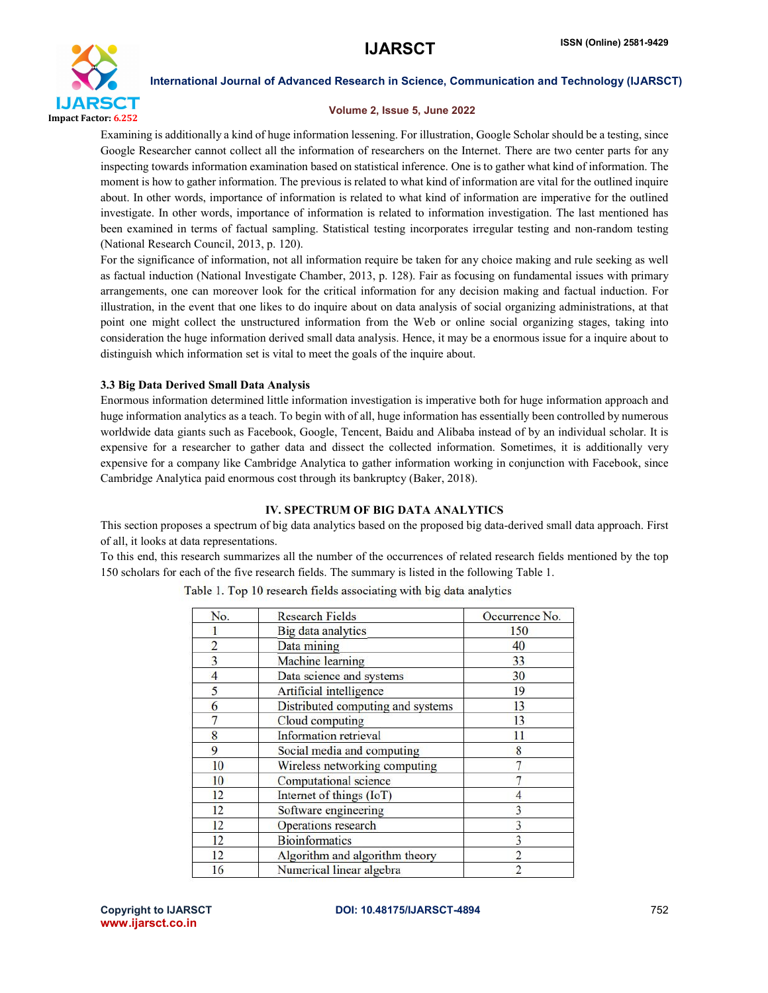

# Volume 2, Issue 5, June 2022

Examining is additionally a kind of huge information lessening. For illustration, Google Scholar should be a testing, since Google Researcher cannot collect all the information of researchers on the Internet. There are two center parts for any inspecting towards information examination based on statistical inference. One is to gather what kind of information. The moment is how to gather information. The previous is related to what kind of information are vital for the outlined inquire about. In other words, importance of information is related to what kind of information are imperative for the outlined investigate. In other words, importance of information is related to information investigation. The last mentioned has been examined in terms of factual sampling. Statistical testing incorporates irregular testing and non-random testing (National Research Council, 2013, p. 120).

For the significance of information, not all information require be taken for any choice making and rule seeking as well as factual induction (National Investigate Chamber, 2013, p. 128). Fair as focusing on fundamental issues with primary arrangements, one can moreover look for the critical information for any decision making and factual induction. For illustration, in the event that one likes to do inquire about on data analysis of social organizing administrations, at that point one might collect the unstructured information from the Web or online social organizing stages, taking into consideration the huge information derived small data analysis. Hence, it may be a enormous issue for a inquire about to distinguish which information set is vital to meet the goals of the inquire about.

# 3.3 Big Data Derived Small Data Analysis

Enormous information determined little information investigation is imperative both for huge information approach and huge information analytics as a teach. To begin with of all, huge information has essentially been controlled by numerous worldwide data giants such as Facebook, Google, Tencent, Baidu and Alibaba instead of by an individual scholar. It is expensive for a researcher to gather data and dissect the collected information. Sometimes, it is additionally very expensive for a company like Cambridge Analytica to gather information working in conjunction with Facebook, since Cambridge Analytica paid enormous cost through its bankruptcy (Baker, 2018).

# IV. SPECTRUM OF BIG DATA ANALYTICS

This section proposes a spectrum of big data analytics based on the proposed big data-derived small data approach. First of all, it looks at data representations.

To this end, this research summarizes all the number of the occurrences of related research fields mentioned by the top 150 scholars for each of the five research fields. The summary is listed in the following Table 1.

| No.            | <b>Research Fields</b>            | Occurrence No. |
|----------------|-----------------------------------|----------------|
|                | Big data analytics                | 150            |
| $\overline{2}$ | Data mining                       | 40             |
| 3              | Machine learning                  | 33             |
| 4              | Data science and systems          | 30             |
| 5              | Artificial intelligence           | 19             |
| 6              | Distributed computing and systems | 13             |
|                | Cloud computing                   | 13             |
| 8              | Information retrieval             | 11             |
| 9              | Social media and computing        | 8              |
| 10             | Wireless networking computing     |                |
| 10             | Computational science             |                |
| 12             | Internet of things (IoT)          |                |
| 12             | Software engineering              |                |
| 12             | Operations research               |                |
| 12             | <b>Bioinformatics</b>             |                |
| 12             | Algorithm and algorithm theory    |                |
| 16             | Numerical linear algebra          |                |

Table 1. Top 10 research fields associating with big data analytics